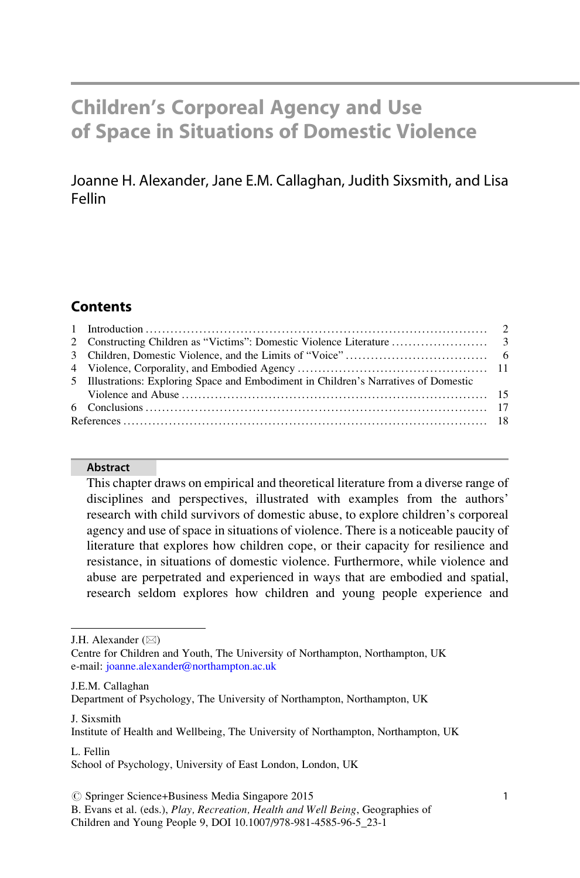# Children's Corporeal Agency and Use of Space in Situations of Domestic Violence

# Joanne H. Alexander, Jane E.M. Callaghan, Judith Sixsmith, and Lisa Fellin

## **Contents**

| 5 Illustrations: Exploring Space and Embodiment in Children's Narratives of Domestic |  |
|--------------------------------------------------------------------------------------|--|
|                                                                                      |  |
|                                                                                      |  |
|                                                                                      |  |
|                                                                                      |  |

#### Abstract

This chapter draws on empirical and theoretical literature from a diverse range of disciplines and perspectives, illustrated with examples from the authors' research with child survivors of domestic abuse, to explore children's corporeal agency and use of space in situations of violence. There is a noticeable paucity of literature that explores how children cope, or their capacity for resilience and resistance, in situations of domestic violence. Furthermore, while violence and abuse are perpetrated and experienced in ways that are embodied and spatial, research seldom explores how children and young people experience and

J.E.M. Callaghan

J. Sixsmith

L. Fellin School of Psychology, University of East London, London, UK

J.H. Alexander  $(\boxtimes)$ 

Centre for Children and Youth, The University of Northampton, Northampton, UK e-mail: [joanne.alexander@northampton.ac.uk](mailto:joanne.alexander@northampton.ac.uk)

Department of Psychology, The University of Northampton, Northampton, UK

Institute of Health and Wellbeing, The University of Northampton, Northampton, UK

 $\odot$  Springer Science+Business Media Singapore 2015

B. Evans et al. (eds.), Play, Recreation, Health and Well Being, Geographies of Children and Young People 9, DOI 10.1007/978-981-4585-96-5\_23-1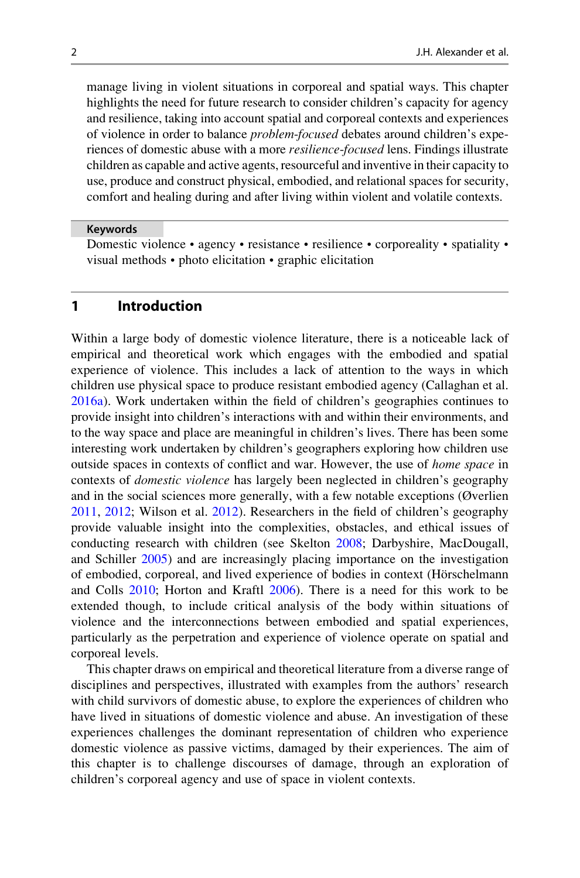manage living in violent situations in corporeal and spatial ways. This chapter highlights the need for future research to consider children's capacity for agency and resilience, taking into account spatial and corporeal contexts and experiences of violence in order to balance problem-focused debates around children's experiences of domestic abuse with a more resilience-focused lens. Findings illustrate children as capable and active agents, resourceful and inventive in their capacity to use, produce and construct physical, embodied, and relational spaces for security, comfort and healing during and after living within violent and volatile contexts.

#### Keywords

Domestic violence • agency • resistance • resilience • corporeality • spatiality • visual methods • photo elicitation • graphic elicitation

## 1 Introduction

Within a large body of domestic violence literature, there is a noticeable lack of empirical and theoretical work which engages with the embodied and spatial experience of violence. This includes a lack of attention to the ways in which children use physical space to produce resistant embodied agency (Callaghan et al. [2016a](#page-17-0)). Work undertaken within the field of children's geographies continues to provide insight into children's interactions with and within their environments, and to the way space and place are meaningful in children's lives. There has been some interesting work undertaken by children's geographers exploring how children use outside spaces in contexts of conflict and war. However, the use of home space in contexts of domestic violence has largely been neglected in children's geography and in the social sciences more generally, with a few notable exceptions (Øverlien [2011,](#page-19-0) [2012](#page-19-0); Wilson et al. [2012\)](#page-20-0). Researchers in the field of children's geography provide valuable insight into the complexities, obstacles, and ethical issues of conducting research with children (see Skelton [2008;](#page-19-0) Darbyshire, MacDougall, and Schiller [2005](#page-17-0)) and are increasingly placing importance on the investigation of embodied, corporeal, and lived experience of bodies in context (Hörschelmann and Colls [2010;](#page-18-0) Horton and Kraftl [2006](#page-18-0)). There is a need for this work to be extended though, to include critical analysis of the body within situations of violence and the interconnections between embodied and spatial experiences, particularly as the perpetration and experience of violence operate on spatial and corporeal levels.

This chapter draws on empirical and theoretical literature from a diverse range of disciplines and perspectives, illustrated with examples from the authors' research with child survivors of domestic abuse, to explore the experiences of children who have lived in situations of domestic violence and abuse. An investigation of these experiences challenges the dominant representation of children who experience domestic violence as passive victims, damaged by their experiences. The aim of this chapter is to challenge discourses of damage, through an exploration of children's corporeal agency and use of space in violent contexts.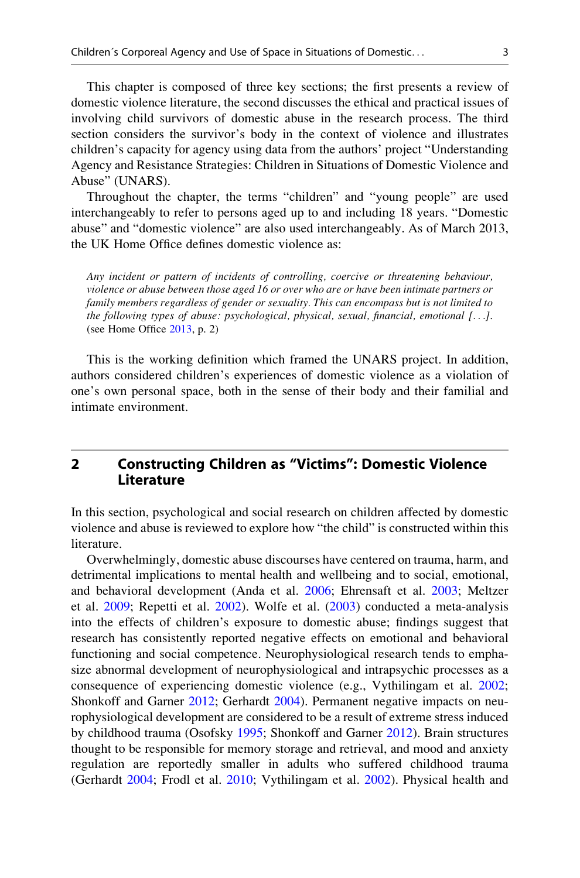This chapter is composed of three key sections; the first presents a review of domestic violence literature, the second discusses the ethical and practical issues of involving child survivors of domestic abuse in the research process. The third section considers the survivor's body in the context of violence and illustrates children's capacity for agency using data from the authors' project "Understanding Agency and Resistance Strategies: Children in Situations of Domestic Violence and Abuse" (UNARS).

Throughout the chapter, the terms "children" and "young people" are used interchangeably to refer to persons aged up to and including 18 years. "Domestic abuse" and "domestic violence" are also used interchangeably. As of March 2013, the UK Home Office defines domestic violence as:

Any incident or pattern of incidents of controlling, coercive or threatening behaviour, violence or abuse between those aged 16 or over who are or have been intimate partners or family members regardless of gender or sexuality. This can encompass but is not limited to the following types of abuse: psychological, physical, sexual, financial, emotional  $[\ldots]$ . (see Home Office [2013](#page-18-0), p. 2)

This is the working definition which framed the UNARS project. In addition, authors considered children's experiences of domestic violence as a violation of one's own personal space, both in the sense of their body and their familial and intimate environment.

## 2 Constructing Children as "Victims": Domestic Violence Literature

In this section, psychological and social research on children affected by domestic violence and abuse is reviewed to explore how "the child" is constructed within this literature.

Overwhelmingly, domestic abuse discourses have centered on trauma, harm, and detrimental implications to mental health and wellbeing and to social, emotional, and behavioral development (Anda et al. [2006](#page-17-0); Ehrensaft et al. [2003](#page-18-0); Meltzer et al. [2009;](#page-18-0) Repetti et al. [2002](#page-19-0)). Wolfe et al. ([2003\)](#page-20-0) conducted a meta-analysis into the effects of children's exposure to domestic abuse; findings suggest that research has consistently reported negative effects on emotional and behavioral functioning and social competence. Neurophysiological research tends to emphasize abnormal development of neurophysiological and intrapsychic processes as a consequence of experiencing domestic violence (e.g., Vythilingam et al. [2002;](#page-19-0) Shonkoff and Garner [2012;](#page-19-0) Gerhardt [2004\)](#page-18-0). Permanent negative impacts on neurophysiological development are considered to be a result of extreme stress induced by childhood trauma (Osofsky [1995;](#page-19-0) Shonkoff and Garner [2012\)](#page-19-0). Brain structures thought to be responsible for memory storage and retrieval, and mood and anxiety regulation are reportedly smaller in adults who suffered childhood trauma (Gerhardt [2004](#page-18-0); Frodl et al. [2010;](#page-18-0) Vythilingam et al. [2002](#page-19-0)). Physical health and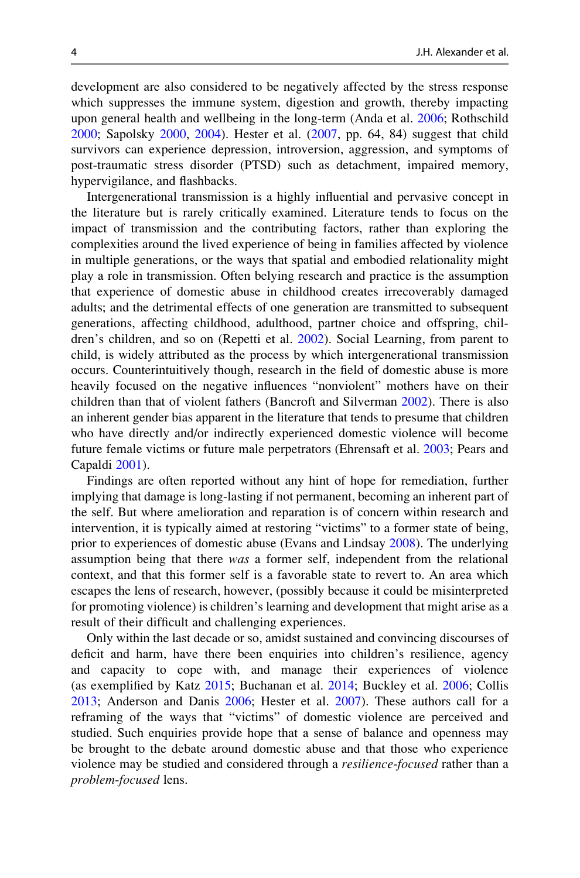development are also considered to be negatively affected by the stress response which suppresses the immune system, digestion and growth, thereby impacting upon general health and wellbeing in the long-term (Anda et al. [2006](#page-17-0); Rothschild [2000;](#page-19-0) Sapolsky [2000](#page-19-0), [2004\)](#page-19-0). Hester et al. ([2007,](#page-18-0) pp. 64, 84) suggest that child survivors can experience depression, introversion, aggression, and symptoms of post-traumatic stress disorder (PTSD) such as detachment, impaired memory, hypervigilance, and flashbacks.

Intergenerational transmission is a highly influential and pervasive concept in the literature but is rarely critically examined. Literature tends to focus on the impact of transmission and the contributing factors, rather than exploring the complexities around the lived experience of being in families affected by violence in multiple generations, or the ways that spatial and embodied relationality might play a role in transmission. Often belying research and practice is the assumption that experience of domestic abuse in childhood creates irrecoverably damaged adults; and the detrimental effects of one generation are transmitted to subsequent generations, affecting childhood, adulthood, partner choice and offspring, children's children, and so on (Repetti et al. [2002\)](#page-19-0). Social Learning, from parent to child, is widely attributed as the process by which intergenerational transmission occurs. Counterintuitively though, research in the field of domestic abuse is more heavily focused on the negative influences "nonviolent" mothers have on their children than that of violent fathers (Bancroft and Silverman [2002](#page-17-0)). There is also an inherent gender bias apparent in the literature that tends to presume that children who have directly and/or indirectly experienced domestic violence will become future female victims or future male perpetrators (Ehrensaft et al. [2003](#page-18-0); Pears and Capaldi [2001\)](#page-19-0).

Findings are often reported without any hint of hope for remediation, further implying that damage is long-lasting if not permanent, becoming an inherent part of the self. But where amelioration and reparation is of concern within research and intervention, it is typically aimed at restoring "victims" to a former state of being, prior to experiences of domestic abuse (Evans and Lindsay [2008](#page-18-0)). The underlying assumption being that there was a former self, independent from the relational context, and that this former self is a favorable state to revert to. An area which escapes the lens of research, however, (possibly because it could be misinterpreted for promoting violence) is children's learning and development that might arise as a result of their difficult and challenging experiences.

Only within the last decade or so, amidst sustained and convincing discourses of deficit and harm, have there been enquiries into children's resilience, agency and capacity to cope with, and manage their experiences of violence (as exemplified by Katz [2015](#page-18-0); Buchanan et al. [2014;](#page-17-0) Buckley et al. [2006](#page-17-0); Collis [2013;](#page-17-0) Anderson and Danis [2006;](#page-17-0) Hester et al. [2007\)](#page-18-0). These authors call for a reframing of the ways that "victims" of domestic violence are perceived and studied. Such enquiries provide hope that a sense of balance and openness may be brought to the debate around domestic abuse and that those who experience violence may be studied and considered through a resilience-focused rather than a problem-focused lens.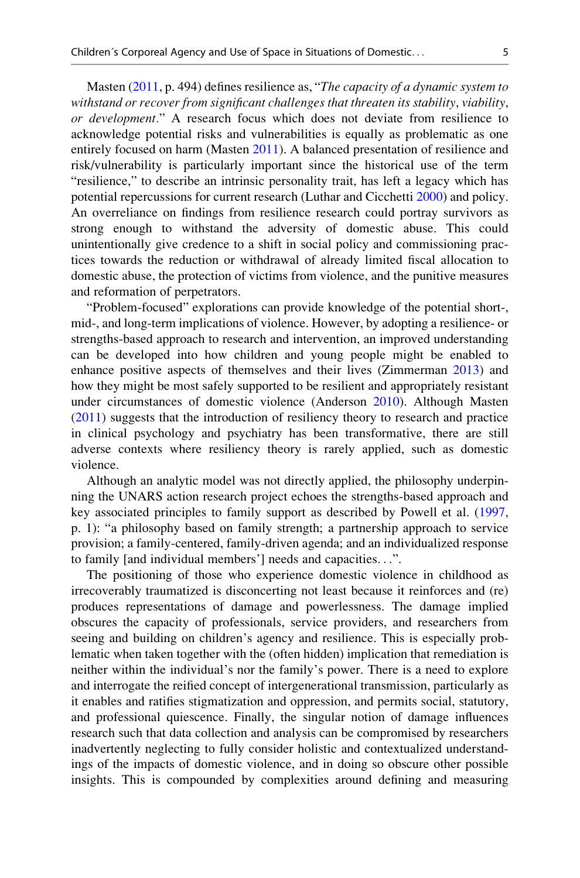Masten ([2011,](#page-18-0) p. 494) defines resilience as, "The capacity of a dynamic system to withstand or recover from significant challenges that threaten its stability, viability, or development." A research focus which does not deviate from resilience to acknowledge potential risks and vulnerabilities is equally as problematic as one entirely focused on harm (Masten [2011\)](#page-18-0). A balanced presentation of resilience and risk/vulnerability is particularly important since the historical use of the term "resilience," to describe an intrinsic personality trait, has left a legacy which has potential repercussions for current research (Luthar and Cicchetti [2000\)](#page-18-0) and policy. An overreliance on findings from resilience research could portray survivors as strong enough to withstand the adversity of domestic abuse. This could unintentionally give credence to a shift in social policy and commissioning practices towards the reduction or withdrawal of already limited fiscal allocation to domestic abuse, the protection of victims from violence, and the punitive measures and reformation of perpetrators.

"Problem-focused" explorations can provide knowledge of the potential short-, mid-, and long-term implications of violence. However, by adopting a resilience- or strengths-based approach to research and intervention, an improved understanding can be developed into how children and young people might be enabled to enhance positive aspects of themselves and their lives (Zimmerman [2013](#page-20-0)) and how they might be most safely supported to be resilient and appropriately resistant under circumstances of domestic violence (Anderson [2010\)](#page-17-0). Although Masten [\(2011](#page-18-0)) suggests that the introduction of resiliency theory to research and practice in clinical psychology and psychiatry has been transformative, there are still adverse contexts where resiliency theory is rarely applied, such as domestic violence.

Although an analytic model was not directly applied, the philosophy underpinning the UNARS action research project echoes the strengths-based approach and key associated principles to family support as described by Powell et al. [\(1997](#page-19-0), p. 1): "a philosophy based on family strength; a partnership approach to service provision; a family-centered, family-driven agenda; and an individualized response to family [and individual members'] needs and capacities...".

The positioning of those who experience domestic violence in childhood as irrecoverably traumatized is disconcerting not least because it reinforces and (re) produces representations of damage and powerlessness. The damage implied obscures the capacity of professionals, service providers, and researchers from seeing and building on children's agency and resilience. This is especially problematic when taken together with the (often hidden) implication that remediation is neither within the individual's nor the family's power. There is a need to explore and interrogate the reified concept of intergenerational transmission, particularly as it enables and ratifies stigmatization and oppression, and permits social, statutory, and professional quiescence. Finally, the singular notion of damage influences research such that data collection and analysis can be compromised by researchers inadvertently neglecting to fully consider holistic and contextualized understandings of the impacts of domestic violence, and in doing so obscure other possible insights. This is compounded by complexities around defining and measuring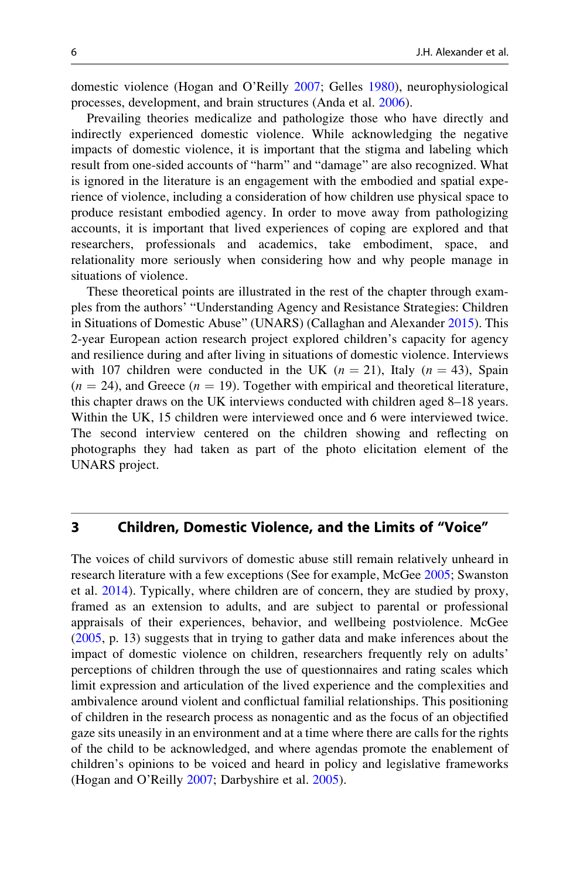domestic violence (Hogan and O'Reilly [2007;](#page-18-0) Gelles [1980](#page-18-0)), neurophysiological processes, development, and brain structures (Anda et al. [2006](#page-17-0)).

Prevailing theories medicalize and pathologize those who have directly and indirectly experienced domestic violence. While acknowledging the negative impacts of domestic violence, it is important that the stigma and labeling which result from one-sided accounts of "harm" and "damage" are also recognized. What is ignored in the literature is an engagement with the embodied and spatial experience of violence, including a consideration of how children use physical space to produce resistant embodied agency. In order to move away from pathologizing accounts, it is important that lived experiences of coping are explored and that researchers, professionals and academics, take embodiment, space, and relationality more seriously when considering how and why people manage in situations of violence.

These theoretical points are illustrated in the rest of the chapter through examples from the authors' "Understanding Agency and Resistance Strategies: Children in Situations of Domestic Abuse" (UNARS) (Callaghan and Alexander [2015\)](#page-17-0). This 2-year European action research project explored children's capacity for agency and resilience during and after living in situations of domestic violence. Interviews with 107 children were conducted in the UK  $(n = 21)$ , Italy  $(n = 43)$ , Spain  $(n = 24)$ , and Greece  $(n = 19)$ . Together with empirical and theoretical literature, this chapter draws on the UK interviews conducted with children aged 8–18 years. Within the UK, 15 children were interviewed once and 6 were interviewed twice. The second interview centered on the children showing and reflecting on photographs they had taken as part of the photo elicitation element of the UNARS project.

## 3 Children, Domestic Violence, and the Limits of "Voice"

The voices of child survivors of domestic abuse still remain relatively unheard in research literature with a few exceptions (See for example, McGee [2005;](#page-18-0) Swanston et al. [2014](#page-19-0)). Typically, where children are of concern, they are studied by proxy, framed as an extension to adults, and are subject to parental or professional appraisals of their experiences, behavior, and wellbeing postviolence. McGee [\(2005](#page-18-0), p. 13) suggests that in trying to gather data and make inferences about the impact of domestic violence on children, researchers frequently rely on adults' perceptions of children through the use of questionnaires and rating scales which limit expression and articulation of the lived experience and the complexities and ambivalence around violent and conflictual familial relationships. This positioning of children in the research process as nonagentic and as the focus of an objectified gaze sits uneasily in an environment and at a time where there are calls for the rights of the child to be acknowledged, and where agendas promote the enablement of children's opinions to be voiced and heard in policy and legislative frameworks (Hogan and O'Reilly [2007;](#page-18-0) Darbyshire et al. [2005\)](#page-17-0).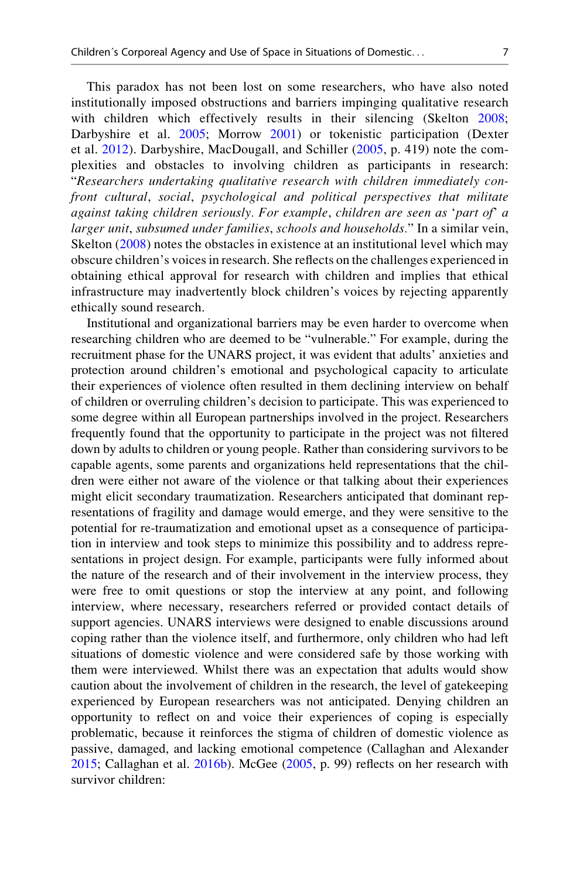This paradox has not been lost on some researchers, who have also noted institutionally imposed obstructions and barriers impinging qualitative research with children which effectively results in their silencing (Skelton [2008;](#page-19-0) Darbyshire et al. [2005](#page-17-0); Morrow [2001](#page-19-0)) or tokenistic participation (Dexter et al. [2012\)](#page-17-0). Darbyshire, MacDougall, and Schiller [\(2005,](#page-17-0) p. 419) note the complexities and obstacles to involving children as participants in research: "Researchers undertaking qualitative research with children immediately confront cultural, social, psychological and political perspectives that militate against taking children seriously. For example, children are seen as 'part of' a larger unit, subsumed under families, schools and households." In a similar vein, Skelton ([2008](#page-19-0)) notes the obstacles in existence at an institutional level which may obscure children's voices in research. She reflects on the challenges experienced in obtaining ethical approval for research with children and implies that ethical infrastructure may inadvertently block children's voices by rejecting apparently ethically sound research.

Institutional and organizational barriers may be even harder to overcome when researching children who are deemed to be "vulnerable." For example, during the recruitment phase for the UNARS project, it was evident that adults' anxieties and protection around children's emotional and psychological capacity to articulate their experiences of violence often resulted in them declining interview on behalf of children or overruling children's decision to participate. This was experienced to some degree within all European partnerships involved in the project. Researchers frequently found that the opportunity to participate in the project was not filtered down by adults to children or young people. Rather than considering survivors to be capable agents, some parents and organizations held representations that the children were either not aware of the violence or that talking about their experiences might elicit secondary traumatization. Researchers anticipated that dominant representations of fragility and damage would emerge, and they were sensitive to the potential for re-traumatization and emotional upset as a consequence of participation in interview and took steps to minimize this possibility and to address representations in project design. For example, participants were fully informed about the nature of the research and of their involvement in the interview process, they were free to omit questions or stop the interview at any point, and following interview, where necessary, researchers referred or provided contact details of support agencies. UNARS interviews were designed to enable discussions around coping rather than the violence itself, and furthermore, only children who had left situations of domestic violence and were considered safe by those working with them were interviewed. Whilst there was an expectation that adults would show caution about the involvement of children in the research, the level of gatekeeping experienced by European researchers was not anticipated. Denying children an opportunity to reflect on and voice their experiences of coping is especially problematic, because it reinforces the stigma of children of domestic violence as passive, damaged, and lacking emotional competence (Callaghan and Alexander [2015;](#page-17-0) Callaghan et al. [2016b](#page-17-0)). McGee [\(2005](#page-18-0), p. 99) reflects on her research with survivor children: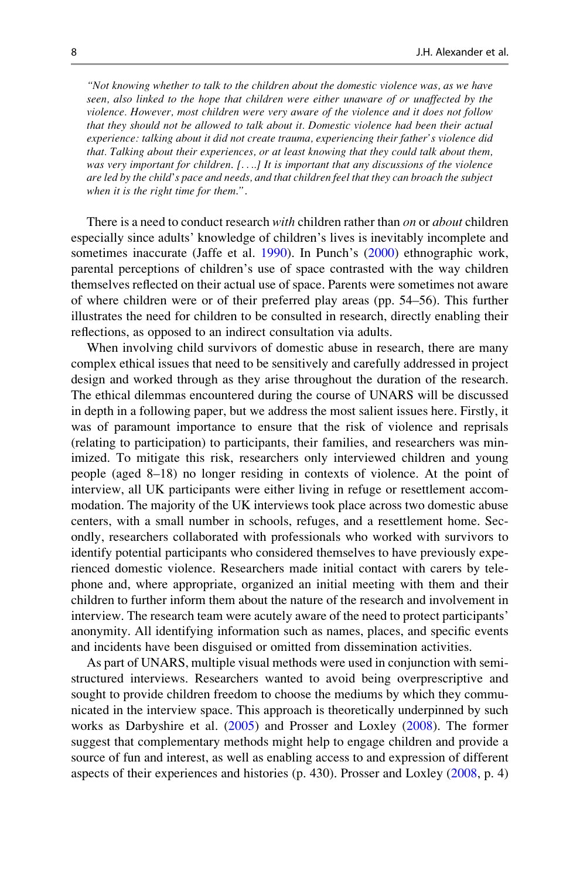"Not knowing whether to talk to the children about the domestic violence was, as we have seen, also linked to the hope that children were either unaware of or unaffected by the violence. However, most children were very aware of the violence and it does not follow that they should not be allowed to talk about it. Domestic violence had been their actual experience: talking about it did not create trauma, experiencing their father's violence did that. Talking about their experiences, or at least knowing that they could talk about them, was very important for children. [...] It is important that any discussions of the violence are led by the child's pace and needs, and that children feel that they can broach the subject when it is the right time for them.".

There is a need to conduct research with children rather than on or about children especially since adults' knowledge of children's lives is inevitably incomplete and sometimes inaccurate (Jaffe et al. [1990\)](#page-18-0). In Punch's [\(2000\)](#page-19-0) ethnographic work, parental perceptions of children's use of space contrasted with the way children themselves reflected on their actual use of space. Parents were sometimes not aware of where children were or of their preferred play areas (pp. 54–56). This further illustrates the need for children to be consulted in research, directly enabling their reflections, as opposed to an indirect consultation via adults.

When involving child survivors of domestic abuse in research, there are many complex ethical issues that need to be sensitively and carefully addressed in project design and worked through as they arise throughout the duration of the research. The ethical dilemmas encountered during the course of UNARS will be discussed in depth in a following paper, but we address the most salient issues here. Firstly, it was of paramount importance to ensure that the risk of violence and reprisals (relating to participation) to participants, their families, and researchers was minimized. To mitigate this risk, researchers only interviewed children and young people (aged 8–18) no longer residing in contexts of violence. At the point of interview, all UK participants were either living in refuge or resettlement accommodation. The majority of the UK interviews took place across two domestic abuse centers, with a small number in schools, refuges, and a resettlement home. Secondly, researchers collaborated with professionals who worked with survivors to identify potential participants who considered themselves to have previously experienced domestic violence. Researchers made initial contact with carers by telephone and, where appropriate, organized an initial meeting with them and their children to further inform them about the nature of the research and involvement in interview. The research team were acutely aware of the need to protect participants' anonymity. All identifying information such as names, places, and specific events and incidents have been disguised or omitted from dissemination activities.

As part of UNARS, multiple visual methods were used in conjunction with semistructured interviews. Researchers wanted to avoid being overprescriptive and sought to provide children freedom to choose the mediums by which they communicated in the interview space. This approach is theoretically underpinned by such works as Darbyshire et al. [\(2005](#page-17-0)) and Prosser and Loxley [\(2008](#page-19-0)). The former suggest that complementary methods might help to engage children and provide a source of fun and interest, as well as enabling access to and expression of different aspects of their experiences and histories (p. 430). Prosser and Loxley ([2008,](#page-19-0) p. 4)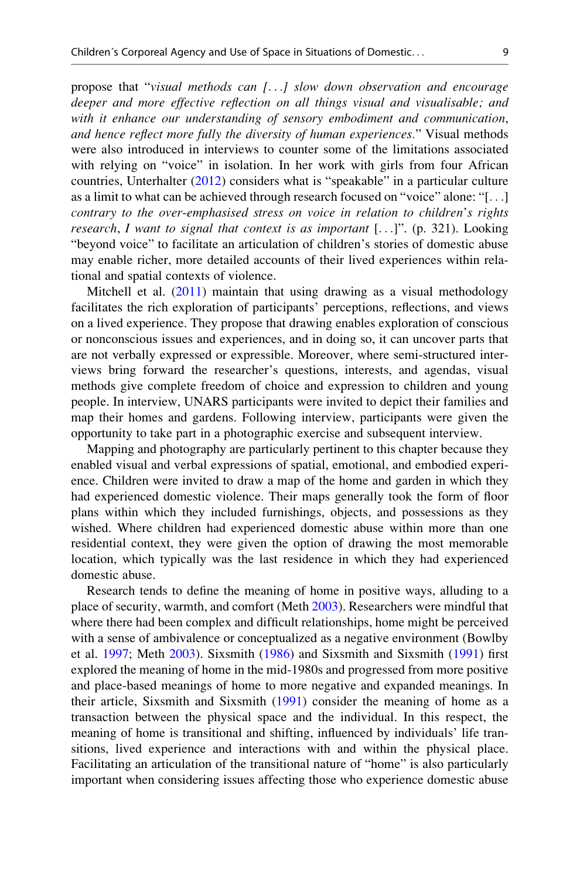propose that "visual methods can [...] slow down observation and encourage deeper and more effective reflection on all things visual and visualisable; and with it enhance our understanding of sensory embodiment and communication, and hence reflect more fully the diversity of human experiences." Visual methods were also introduced in interviews to counter some of the limitations associated with relying on "voice" in isolation. In her work with girls from four African countries, Unterhalter ([2012\)](#page-19-0) considers what is "speakable" in a particular culture as a limit to what can be achieved through research focused on "voice" alone: "[...] contrary to the over-emphasised stress on voice in relation to children's rights research, I want to signal that context is as important  $[\ldots]$ ". (p. 321). Looking "beyond voice" to facilitate an articulation of children's stories of domestic abuse may enable richer, more detailed accounts of their lived experiences within relational and spatial contexts of violence.

Mitchell et al. [\(2011](#page-18-0)) maintain that using drawing as a visual methodology facilitates the rich exploration of participants' perceptions, reflections, and views on a lived experience. They propose that drawing enables exploration of conscious or nonconscious issues and experiences, and in doing so, it can uncover parts that are not verbally expressed or expressible. Moreover, where semi-structured interviews bring forward the researcher's questions, interests, and agendas, visual methods give complete freedom of choice and expression to children and young people. In interview, UNARS participants were invited to depict their families and map their homes and gardens. Following interview, participants were given the opportunity to take part in a photographic exercise and subsequent interview.

Mapping and photography are particularly pertinent to this chapter because they enabled visual and verbal expressions of spatial, emotional, and embodied experience. Children were invited to draw a map of the home and garden in which they had experienced domestic violence. Their maps generally took the form of floor plans within which they included furnishings, objects, and possessions as they wished. Where children had experienced domestic abuse within more than one residential context, they were given the option of drawing the most memorable location, which typically was the last residence in which they had experienced domestic abuse.

Research tends to define the meaning of home in positive ways, alluding to a place of security, warmth, and comfort (Meth [2003](#page-18-0)). Researchers were mindful that where there had been complex and difficult relationships, home might be perceived with a sense of ambivalence or conceptualized as a negative environment (Bowlby et al. [1997;](#page-17-0) Meth [2003](#page-18-0)). Sixsmith ([1986\)](#page-19-0) and Sixsmith and Sixsmith [\(1991](#page-19-0)) first explored the meaning of home in the mid-1980s and progressed from more positive and place-based meanings of home to more negative and expanded meanings. In their article, Sixsmith and Sixsmith [\(1991](#page-19-0)) consider the meaning of home as a transaction between the physical space and the individual. In this respect, the meaning of home is transitional and shifting, influenced by individuals' life transitions, lived experience and interactions with and within the physical place. Facilitating an articulation of the transitional nature of "home" is also particularly important when considering issues affecting those who experience domestic abuse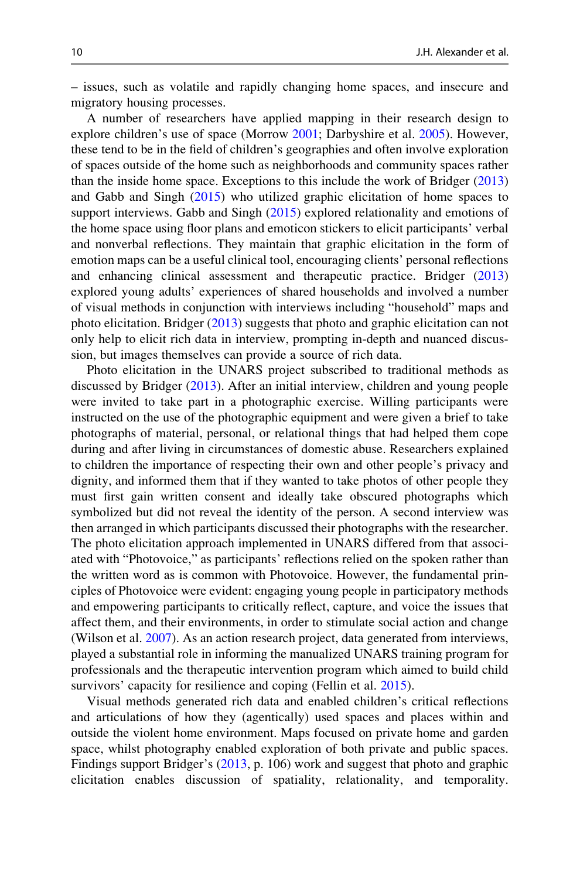– issues, such as volatile and rapidly changing home spaces, and insecure and migratory housing processes.

A number of researchers have applied mapping in their research design to explore children's use of space (Morrow [2001;](#page-19-0) Darbyshire et al. [2005\)](#page-17-0). However, these tend to be in the field of children's geographies and often involve exploration of spaces outside of the home such as neighborhoods and community spaces rather than the inside home space. Exceptions to this include the work of Bridger [\(2013](#page-17-0)) and Gabb and Singh [\(2015](#page-18-0)) who utilized graphic elicitation of home spaces to support interviews. Gabb and Singh ([2015\)](#page-18-0) explored relationality and emotions of the home space using floor plans and emoticon stickers to elicit participants' verbal and nonverbal reflections. They maintain that graphic elicitation in the form of emotion maps can be a useful clinical tool, encouraging clients' personal reflections and enhancing clinical assessment and therapeutic practice. Bridger [\(2013](#page-17-0)) explored young adults' experiences of shared households and involved a number of visual methods in conjunction with interviews including "household" maps and photo elicitation. Bridger [\(2013](#page-17-0)) suggests that photo and graphic elicitation can not only help to elicit rich data in interview, prompting in-depth and nuanced discussion, but images themselves can provide a source of rich data.

Photo elicitation in the UNARS project subscribed to traditional methods as discussed by Bridger [\(2013](#page-17-0)). After an initial interview, children and young people were invited to take part in a photographic exercise. Willing participants were instructed on the use of the photographic equipment and were given a brief to take photographs of material, personal, or relational things that had helped them cope during and after living in circumstances of domestic abuse. Researchers explained to children the importance of respecting their own and other people's privacy and dignity, and informed them that if they wanted to take photos of other people they must first gain written consent and ideally take obscured photographs which symbolized but did not reveal the identity of the person. A second interview was then arranged in which participants discussed their photographs with the researcher. The photo elicitation approach implemented in UNARS differed from that associated with "Photovoice," as participants' reflections relied on the spoken rather than the written word as is common with Photovoice. However, the fundamental principles of Photovoice were evident: engaging young people in participatory methods and empowering participants to critically reflect, capture, and voice the issues that affect them, and their environments, in order to stimulate social action and change (Wilson et al. [2007](#page-20-0)). As an action research project, data generated from interviews, played a substantial role in informing the manualized UNARS training program for professionals and the therapeutic intervention program which aimed to build child survivors' capacity for resilience and coping (Fellin et al. [2015](#page-18-0)).

Visual methods generated rich data and enabled children's critical reflections and articulations of how they (agentically) used spaces and places within and outside the violent home environment. Maps focused on private home and garden space, whilst photography enabled exploration of both private and public spaces. Findings support Bridger's [\(2013](#page-17-0), p. 106) work and suggest that photo and graphic elicitation enables discussion of spatiality, relationality, and temporality.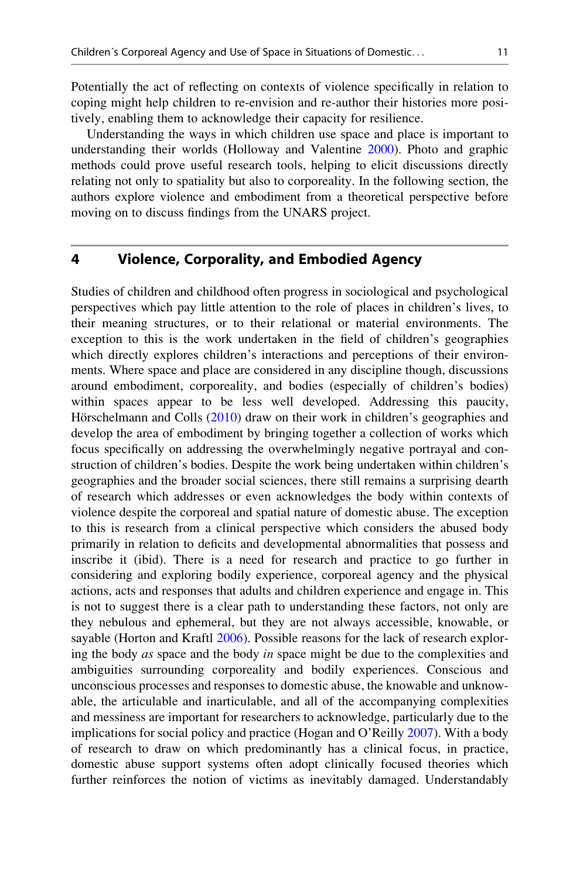Potentially the act of reflecting on contexts of violence specifically in relation to coping might help children to re-envision and re-author their histories more positively, enabling them to acknowledge their capacity for resilience.

Understanding the ways in which children use space and place is important to understanding their worlds (Holloway and Valentine [2000\)](#page-18-0). Photo and graphic methods could prove useful research tools, helping to elicit discussions directly relating not only to spatiality but also to corporeality. In the following section, the authors explore violence and embodiment from a theoretical perspective before moving on to discuss findings from the UNARS project.

## 4 Violence, Corporality, and Embodied Agency

Studies of children and childhood often progress in sociological and psychological perspectives which pay little attention to the role of places in children's lives, to their meaning structures, or to their relational or material environments. The exception to this is the work undertaken in the field of children's geographies which directly explores children's interactions and perceptions of their environments. Where space and place are considered in any discipline though, discussions around embodiment, corporeality, and bodies (especially of children's bodies) within spaces appear to be less well developed. Addressing this paucity, Hörschelmann and Colls  $(2010)$  $(2010)$  draw on their work in children's geographies and develop the area of embodiment by bringing together a collection of works which focus specifically on addressing the overwhelmingly negative portrayal and construction of children's bodies. Despite the work being undertaken within children's geographies and the broader social sciences, there still remains a surprising dearth of research which addresses or even acknowledges the body within contexts of violence despite the corporeal and spatial nature of domestic abuse. The exception to this is research from a clinical perspective which considers the abused body primarily in relation to deficits and developmental abnormalities that possess and inscribe it (ibid). There is a need for research and practice to go further in considering and exploring bodily experience, corporeal agency and the physical actions, acts and responses that adults and children experience and engage in. This is not to suggest there is a clear path to understanding these factors, not only are they nebulous and ephemeral, but they are not always accessible, knowable, or sayable (Horton and Kraftl [2006](#page-18-0)). Possible reasons for the lack of research exploring the body *as* space and the body *in* space might be due to the complexities and ambiguities surrounding corporeality and bodily experiences. Conscious and unconscious processes and responses to domestic abuse, the knowable and unknowable, the articulable and inarticulable, and all of the accompanying complexities and messiness are important for researchers to acknowledge, particularly due to the implications for social policy and practice (Hogan and O'Reilly [2007\)](#page-18-0). With a body of research to draw on which predominantly has a clinical focus, in practice, domestic abuse support systems often adopt clinically focused theories which further reinforces the notion of victims as inevitably damaged. Understandably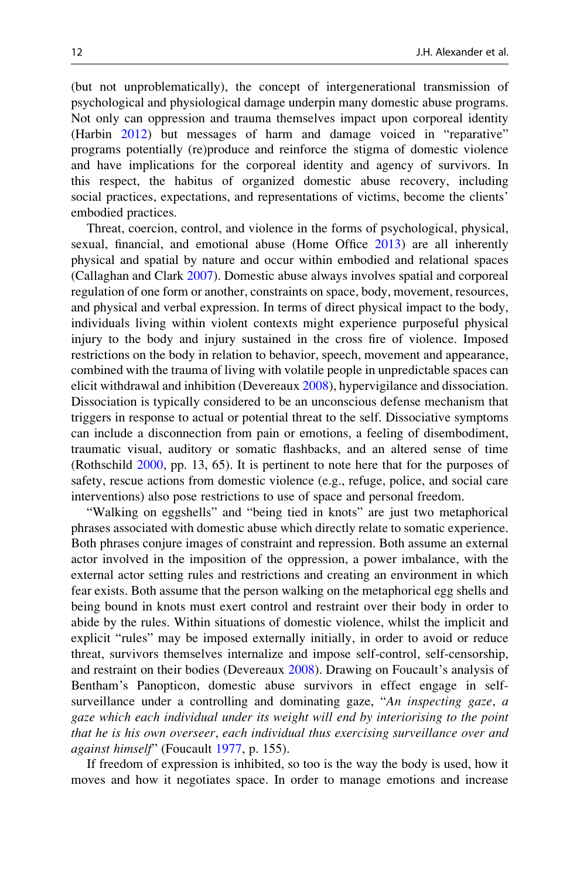(but not unproblematically), the concept of intergenerational transmission of psychological and physiological damage underpin many domestic abuse programs. Not only can oppression and trauma themselves impact upon corporeal identity (Harbin [2012\)](#page-18-0) but messages of harm and damage voiced in "reparative" programs potentially (re)produce and reinforce the stigma of domestic violence and have implications for the corporeal identity and agency of survivors. In this respect, the habitus of organized domestic abuse recovery, including social practices, expectations, and representations of victims, become the clients' embodied practices.

Threat, coercion, control, and violence in the forms of psychological, physical, sexual, financial, and emotional abuse (Home Office [2013](#page-18-0)) are all inherently physical and spatial by nature and occur within embodied and relational spaces (Callaghan and Clark [2007\)](#page-17-0). Domestic abuse always involves spatial and corporeal regulation of one form or another, constraints on space, body, movement, resources, and physical and verbal expression. In terms of direct physical impact to the body, individuals living within violent contexts might experience purposeful physical injury to the body and injury sustained in the cross fire of violence. Imposed restrictions on the body in relation to behavior, speech, movement and appearance, combined with the trauma of living with volatile people in unpredictable spaces can elicit withdrawal and inhibition (Devereaux [2008](#page-17-0)), hypervigilance and dissociation. Dissociation is typically considered to be an unconscious defense mechanism that triggers in response to actual or potential threat to the self. Dissociative symptoms can include a disconnection from pain or emotions, a feeling of disembodiment, traumatic visual, auditory or somatic flashbacks, and an altered sense of time (Rothschild [2000,](#page-19-0) pp. 13, 65). It is pertinent to note here that for the purposes of safety, rescue actions from domestic violence (e.g., refuge, police, and social care interventions) also pose restrictions to use of space and personal freedom.

"Walking on eggshells" and "being tied in knots" are just two metaphorical phrases associated with domestic abuse which directly relate to somatic experience. Both phrases conjure images of constraint and repression. Both assume an external actor involved in the imposition of the oppression, a power imbalance, with the external actor setting rules and restrictions and creating an environment in which fear exists. Both assume that the person walking on the metaphorical egg shells and being bound in knots must exert control and restraint over their body in order to abide by the rules. Within situations of domestic violence, whilst the implicit and explicit "rules" may be imposed externally initially, in order to avoid or reduce threat, survivors themselves internalize and impose self-control, self-censorship, and restraint on their bodies (Devereaux [2008\)](#page-17-0). Drawing on Foucault's analysis of Bentham's Panopticon, domestic abuse survivors in effect engage in selfsurveillance under a controlling and dominating gaze, "An inspecting gaze, a gaze which each individual under its weight will end by interiorising to the point that he is his own overseer, each individual thus exercising surveillance over and against himself" (Foucault [1977](#page-18-0), p. 155).

If freedom of expression is inhibited, so too is the way the body is used, how it moves and how it negotiates space. In order to manage emotions and increase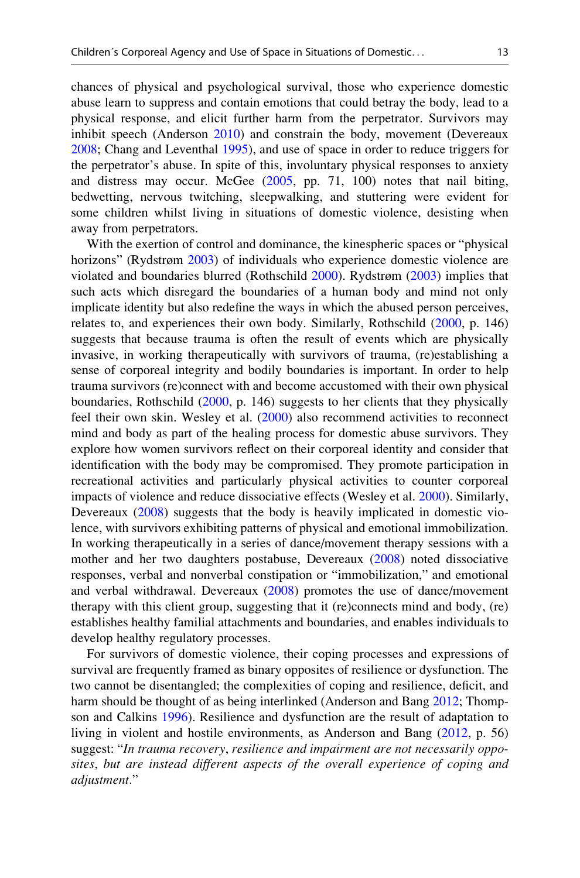chances of physical and psychological survival, those who experience domestic abuse learn to suppress and contain emotions that could betray the body, lead to a physical response, and elicit further harm from the perpetrator. Survivors may inhibit speech (Anderson [2010](#page-17-0)) and constrain the body, movement (Devereaux [2008;](#page-17-0) Chang and Leventhal [1995](#page-17-0)), and use of space in order to reduce triggers for the perpetrator's abuse. In spite of this, involuntary physical responses to anxiety and distress may occur. McGee [\(2005](#page-18-0), pp. 71, 100) notes that nail biting, bedwetting, nervous twitching, sleepwalking, and stuttering were evident for some children whilst living in situations of domestic violence, desisting when away from perpetrators.

With the exertion of control and dominance, the kinespheric spaces or "physical horizons" (Rydstrøm [2003](#page-19-0)) of individuals who experience domestic violence are violated and boundaries blurred (Rothschild [2000](#page-19-0)). Rydstrøm [\(2003](#page-19-0)) implies that such acts which disregard the boundaries of a human body and mind not only implicate identity but also redefine the ways in which the abused person perceives, relates to, and experiences their own body. Similarly, Rothschild ([2000,](#page-19-0) p. 146) suggests that because trauma is often the result of events which are physically invasive, in working therapeutically with survivors of trauma, (re)establishing a sense of corporeal integrity and bodily boundaries is important. In order to help trauma survivors (re)connect with and become accustomed with their own physical boundaries, Rothschild ([2000](#page-19-0), p. 146) suggests to her clients that they physically feel their own skin. Wesley et al. [\(2000](#page-20-0)) also recommend activities to reconnect mind and body as part of the healing process for domestic abuse survivors. They explore how women survivors reflect on their corporeal identity and consider that identification with the body may be compromised. They promote participation in recreational activities and particularly physical activities to counter corporeal impacts of violence and reduce dissociative effects (Wesley et al. [2000](#page-20-0)). Similarly, Devereaux [\(2008](#page-17-0)) suggests that the body is heavily implicated in domestic violence, with survivors exhibiting patterns of physical and emotional immobilization. In working therapeutically in a series of dance/movement therapy sessions with a mother and her two daughters postabuse, Devereaux ([2008\)](#page-17-0) noted dissociative responses, verbal and nonverbal constipation or "immobilization," and emotional and verbal withdrawal. Devereaux [\(2008](#page-17-0)) promotes the use of dance/movement therapy with this client group, suggesting that it (re)connects mind and body, (re) establishes healthy familial attachments and boundaries, and enables individuals to develop healthy regulatory processes.

For survivors of domestic violence, their coping processes and expressions of survival are frequently framed as binary opposites of resilience or dysfunction. The two cannot be disentangled; the complexities of coping and resilience, deficit, and harm should be thought of as being interlinked (Anderson and Bang [2012](#page-17-0); Thompson and Calkins [1996](#page-19-0)). Resilience and dysfunction are the result of adaptation to living in violent and hostile environments, as Anderson and Bang ([2012,](#page-17-0) p. 56) suggest: "In trauma recovery, resilience and impairment are not necessarily opposites, but are instead different aspects of the overall experience of coping and adjustment."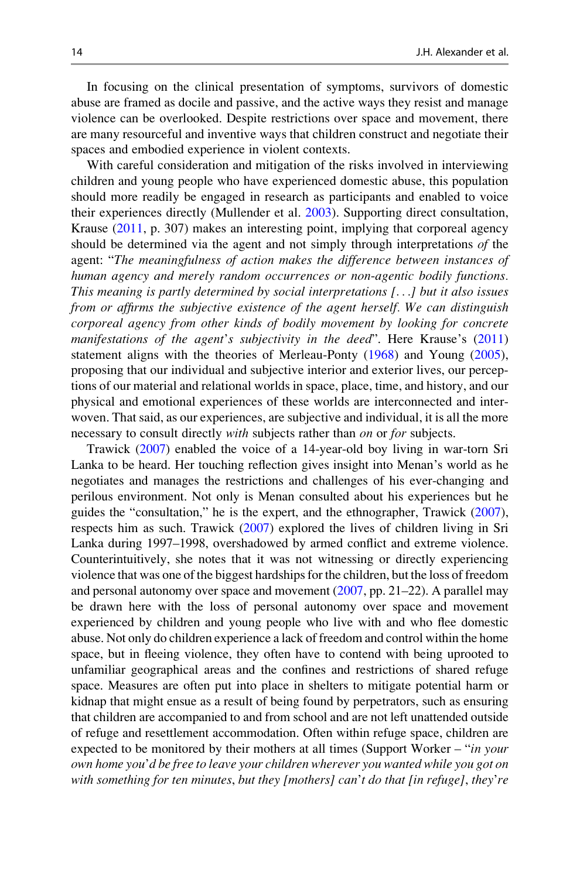In focusing on the clinical presentation of symptoms, survivors of domestic abuse are framed as docile and passive, and the active ways they resist and manage violence can be overlooked. Despite restrictions over space and movement, there are many resourceful and inventive ways that children construct and negotiate their spaces and embodied experience in violent contexts.

With careful consideration and mitigation of the risks involved in interviewing children and young people who have experienced domestic abuse, this population should more readily be engaged in research as participants and enabled to voice their experiences directly (Mullender et al. [2003](#page-19-0)). Supporting direct consultation, Krause ([2011,](#page-18-0) p. 307) makes an interesting point, implying that corporeal agency should be determined via the agent and not simply through interpretations of the agent: "The meaningfulness of action makes the difference between instances of human agency and merely random occurrences or non-agentic bodily functions. This meaning is partly determined by social interpretations [...] but it also issues from or affirms the subjective existence of the agent herself. We can distinguish corporeal agency from other kinds of bodily movement by looking for concrete manifestations of the agent's subjectivity in the deed". Here Krause's [\(2011](#page-18-0)) statement aligns with the theories of Merleau-Ponty ([1968\)](#page-18-0) and Young ([2005\)](#page-20-0), proposing that our individual and subjective interior and exterior lives, our perceptions of our material and relational worlds in space, place, time, and history, and our physical and emotional experiences of these worlds are interconnected and interwoven. That said, as our experiences, are subjective and individual, it is all the more necessary to consult directly with subjects rather than on or for subjects.

Trawick ([2007\)](#page-19-0) enabled the voice of a 14-year-old boy living in war-torn Sri Lanka to be heard. Her touching reflection gives insight into Menan's world as he negotiates and manages the restrictions and challenges of his ever-changing and perilous environment. Not only is Menan consulted about his experiences but he guides the "consultation," he is the expert, and the ethnographer, Trawick [\(2007\)](#page-19-0), respects him as such. Trawick ([2007](#page-19-0)) explored the lives of children living in Sri Lanka during 1997–1998, overshadowed by armed conflict and extreme violence. Counterintuitively, she notes that it was not witnessing or directly experiencing violence that was one of the biggest hardships for the children, but the loss of freedom and personal autonomy over space and movement  $(2007, pp. 21–22)$  $(2007, pp. 21–22)$  $(2007, pp. 21–22)$ . A parallel may be drawn here with the loss of personal autonomy over space and movement experienced by children and young people who live with and who flee domestic abuse. Not only do children experience a lack of freedom and control within the home space, but in fleeing violence, they often have to contend with being uprooted to unfamiliar geographical areas and the confines and restrictions of shared refuge space. Measures are often put into place in shelters to mitigate potential harm or kidnap that might ensue as a result of being found by perpetrators, such as ensuring that children are accompanied to and from school and are not left unattended outside of refuge and resettlement accommodation. Often within refuge space, children are expected to be monitored by their mothers at all times (Support Worker – "in your own home you'd be free to leave your children wherever you wanted while you got on with something for ten minutes, but they [mothers] can't do that [in refuge], they're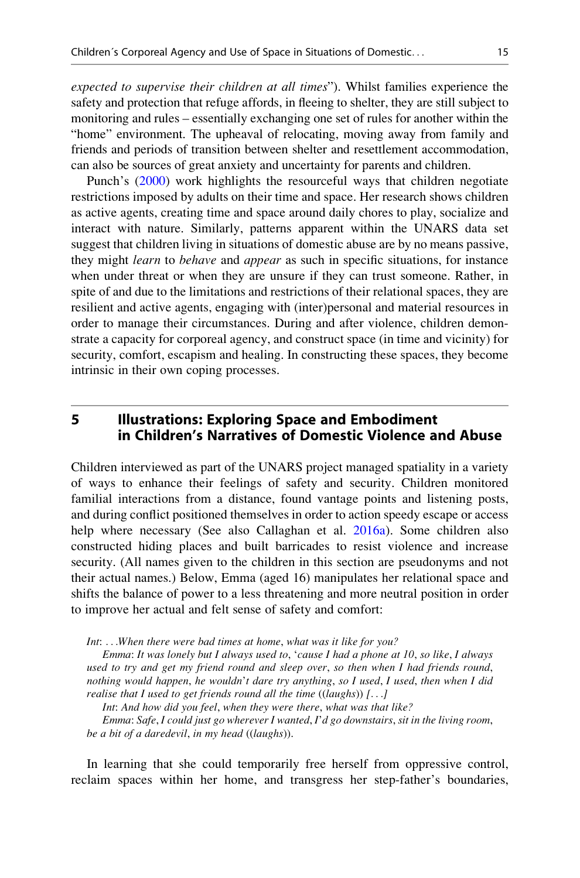expected to supervise their children at all times"). Whilst families experience the safety and protection that refuge affords, in fleeing to shelter, they are still subject to monitoring and rules – essentially exchanging one set of rules for another within the "home" environment. The upheaval of relocating, moving away from family and friends and periods of transition between shelter and resettlement accommodation, can also be sources of great anxiety and uncertainty for parents and children.

Punch's ([2000](#page-19-0)) work highlights the resourceful ways that children negotiate restrictions imposed by adults on their time and space. Her research shows children as active agents, creating time and space around daily chores to play, socialize and interact with nature. Similarly, patterns apparent within the UNARS data set suggest that children living in situations of domestic abuse are by no means passive, they might *learn* to *behave* and *appear* as such in specific situations, for instance when under threat or when they are unsure if they can trust someone. Rather, in spite of and due to the limitations and restrictions of their relational spaces, they are resilient and active agents, engaging with (inter)personal and material resources in order to manage their circumstances. During and after violence, children demonstrate a capacity for corporeal agency, and construct space (in time and vicinity) for security, comfort, escapism and healing. In constructing these spaces, they become intrinsic in their own coping processes.

## 5 Illustrations: Exploring Space and Embodiment in Children's Narratives of Domestic Violence and Abuse

Children interviewed as part of the UNARS project managed spatiality in a variety of ways to enhance their feelings of safety and security. Children monitored familial interactions from a distance, found vantage points and listening posts, and during conflict positioned themselves in order to action speedy escape or access help where necessary (See also Callaghan et al. [2016a](#page-17-0)). Some children also constructed hiding places and built barricades to resist violence and increase security. (All names given to the children in this section are pseudonyms and not their actual names.) Below, Emma (aged 16) manipulates her relational space and shifts the balance of power to a less threatening and more neutral position in order to improve her actual and felt sense of safety and comfort:

Int: ...When there were bad times at home, what was it like for you?

Emma: It was lonely but I always used to, 'cause I had a phone at 10, so like, I always used to try and get my friend round and sleep over, so then when I had friends round, nothing would happen, he wouldn't dare try anything, so I used, I used, then when I did realise that I used to get friends round all the time ((laughs))  $[...]$ 

Int: And how did you feel, when they were there, what was that like? Emma: Safe, I could just go wherever I wanted, I'd go downstairs, sit in the living room, be a bit of a daredevil, in my head ((laughs)).

In learning that she could temporarily free herself from oppressive control, reclaim spaces within her home, and transgress her step-father's boundaries,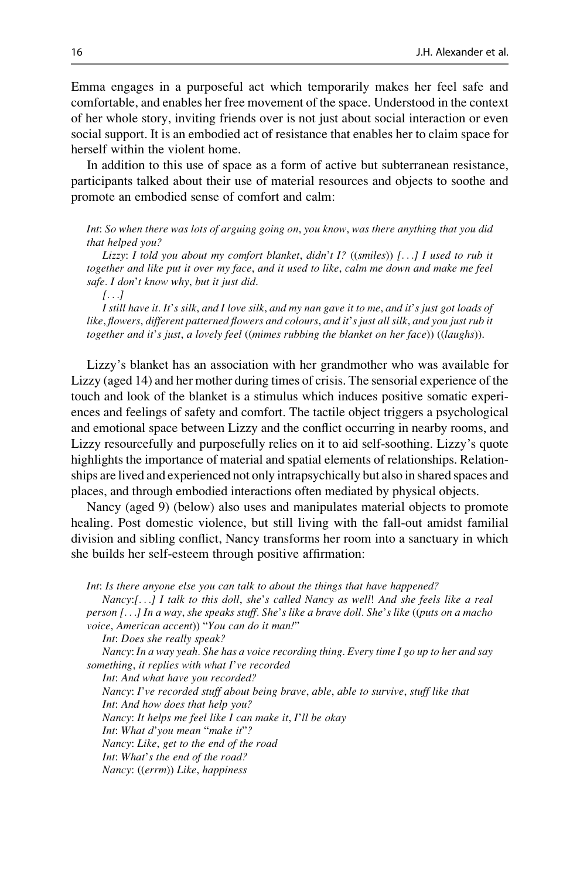Emma engages in a purposeful act which temporarily makes her feel safe and comfortable, and enables her free movement of the space. Understood in the context of her whole story, inviting friends over is not just about social interaction or even social support. It is an embodied act of resistance that enables her to claim space for herself within the violent home.

In addition to this use of space as a form of active but subterranean resistance, participants talked about their use of material resources and objects to soothe and promote an embodied sense of comfort and calm:

Int: So when there was lots of arguing going on, you know, was there anything that you did that helped you?

Lizzy: I told you about my comfort blanket, didn't I? ((smiles)) [...] I used to rub it together and like put it over my face, and it used to like, calm me down and make me feel safe. I don't know why, but it just did.

 $[1..]$ 

I still have it. It's silk, and I love silk, and my nan gave it to me, and it's just got loads of like, flowers, different patterned flowers and colours, and it's just all silk, and you just rub it together and it's just, a lovely feel ((mimes rubbing the blanket on her face)) ((laughs)).

Lizzy's blanket has an association with her grandmother who was available for Lizzy (aged 14) and her mother during times of crisis. The sensorial experience of the touch and look of the blanket is a stimulus which induces positive somatic experiences and feelings of safety and comfort. The tactile object triggers a psychological and emotional space between Lizzy and the conflict occurring in nearby rooms, and Lizzy resourcefully and purposefully relies on it to aid self-soothing. Lizzy's quote highlights the importance of material and spatial elements of relationships. Relationships are lived and experienced not only intrapsychically but also in shared spaces and places, and through embodied interactions often mediated by physical objects.

Nancy (aged 9) (below) also uses and manipulates material objects to promote healing. Post domestic violence, but still living with the fall-out amidst familial division and sibling conflict, Nancy transforms her room into a sanctuary in which she builds her self-esteem through positive affirmation:

Int: Is there anyone else you can talk to about the things that have happened?

Nancy:[...] I talk to this doll, she's called Nancy as well! And she feels like a real person [...] In a way, she speaks stuff. She's like a brave doll. She's like ((puts on a macho voice, American accent)) "You can do it man!"

Int: Does she really speak?

Nancy: In a way yeah. She has a voice recording thing. Every time I go up to her and say something, it replies with what I've recorded

Int: And what have you recorded?

Nancy: I've recorded stuff about being brave, able, able to survive, stuff like that Int: And how does that help you? Nancy: It helps me feel like I can make it, I'll be okay Int: What d'you mean "make it"? Nancy: Like, get to the end of the road Int: What's the end of the road? Nancy: ((errm)) Like, happiness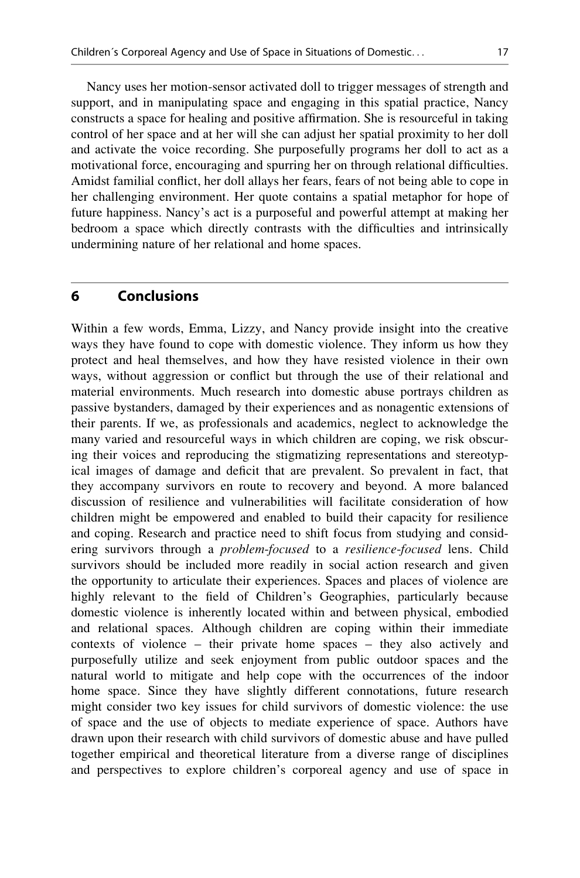Nancy uses her motion-sensor activated doll to trigger messages of strength and support, and in manipulating space and engaging in this spatial practice, Nancy constructs a space for healing and positive affirmation. She is resourceful in taking control of her space and at her will she can adjust her spatial proximity to her doll and activate the voice recording. She purposefully programs her doll to act as a motivational force, encouraging and spurring her on through relational difficulties. Amidst familial conflict, her doll allays her fears, fears of not being able to cope in her challenging environment. Her quote contains a spatial metaphor for hope of future happiness. Nancy's act is a purposeful and powerful attempt at making her bedroom a space which directly contrasts with the difficulties and intrinsically undermining nature of her relational and home spaces.

### 6 Conclusions

Within a few words, Emma, Lizzy, and Nancy provide insight into the creative ways they have found to cope with domestic violence. They inform us how they protect and heal themselves, and how they have resisted violence in their own ways, without aggression or conflict but through the use of their relational and material environments. Much research into domestic abuse portrays children as passive bystanders, damaged by their experiences and as nonagentic extensions of their parents. If we, as professionals and academics, neglect to acknowledge the many varied and resourceful ways in which children are coping, we risk obscuring their voices and reproducing the stigmatizing representations and stereotypical images of damage and deficit that are prevalent. So prevalent in fact, that they accompany survivors en route to recovery and beyond. A more balanced discussion of resilience and vulnerabilities will facilitate consideration of how children might be empowered and enabled to build their capacity for resilience and coping. Research and practice need to shift focus from studying and considering survivors through a *problem-focused* to a *resilience-focused* lens. Child survivors should be included more readily in social action research and given the opportunity to articulate their experiences. Spaces and places of violence are highly relevant to the field of Children's Geographies, particularly because domestic violence is inherently located within and between physical, embodied and relational spaces. Although children are coping within their immediate contexts of violence – their private home spaces – they also actively and purposefully utilize and seek enjoyment from public outdoor spaces and the natural world to mitigate and help cope with the occurrences of the indoor home space. Since they have slightly different connotations, future research might consider two key issues for child survivors of domestic violence: the use of space and the use of objects to mediate experience of space. Authors have drawn upon their research with child survivors of domestic abuse and have pulled together empirical and theoretical literature from a diverse range of disciplines and perspectives to explore children's corporeal agency and use of space in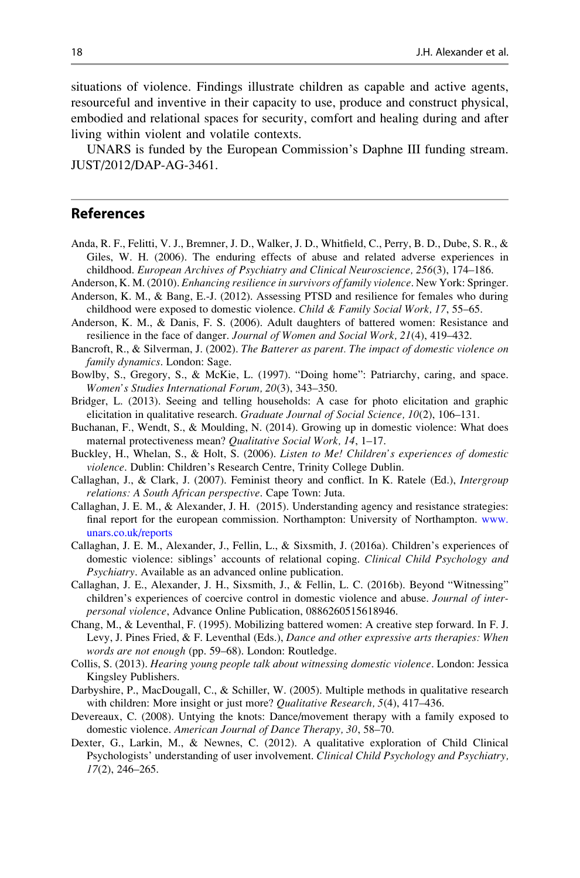<span id="page-17-0"></span>situations of violence. Findings illustrate children as capable and active agents, resourceful and inventive in their capacity to use, produce and construct physical, embodied and relational spaces for security, comfort and healing during and after living within violent and volatile contexts.

UNARS is funded by the European Commission's Daphne III funding stream. JUST/2012/DAP-AG-3461.

#### References

- Anda, R. F., Felitti, V. J., Bremner, J. D., Walker, J. D., Whitfield, C., Perry, B. D., Dube, S. R., & Giles, W. H. (2006). The enduring effects of abuse and related adverse experiences in childhood. European Archives of Psychiatry and Clinical Neuroscience, 256(3), 174–186.
- Anderson, K. M. (2010). Enhancing resilience in survivors of family violence. New York: Springer. Anderson, K. M., & Bang, E.-J. (2012). Assessing PTSD and resilience for females who during
- childhood were exposed to domestic violence. Child & Family Social Work, 17, 55–65.
- Anderson, K. M., & Danis, F. S. (2006). Adult daughters of battered women: Resistance and resilience in the face of danger. Journal of Women and Social Work, 21(4), 419–432.
- Bancroft, R., & Silverman, J. (2002). The Batterer as parent. The impact of domestic violence on family dynamics. London: Sage.
- Bowlby, S., Gregory, S., & McKie, L. (1997). "Doing home": Patriarchy, caring, and space. Women's Studies International Forum, 20(3), 343–350.
- Bridger, L. (2013). Seeing and telling households: A case for photo elicitation and graphic elicitation in qualitative research. Graduate Journal of Social Science,  $10(2)$ ,  $106-131$ .
- Buchanan, F., Wendt, S., & Moulding, N. (2014). Growing up in domestic violence: What does maternal protectiveness mean? Qualitative Social Work, 14, 1–17.
- Buckley, H., Whelan, S., & Holt, S. (2006). Listen to Me! Children's experiences of domestic violence. Dublin: Children's Research Centre, Trinity College Dublin.
- Callaghan, J., & Clark, J. (2007). Feminist theory and conflict. In K. Ratele (Ed.), Intergroup relations: A South African perspective. Cape Town: Juta.
- Callaghan, J. E. M., & Alexander, J. H. (2015). Understanding agency and resistance strategies: final report for the european commission. Northampton: University of Northampton. [www.](www.unars.co.uk/reports) [unars.co.uk/reports](www.unars.co.uk/reports)
- Callaghan, J. E. M., Alexander, J., Fellin, L., & Sixsmith, J. (2016a). Children's experiences of domestic violence: siblings' accounts of relational coping. Clinical Child Psychology and Psychiatry. Available as an advanced online publication.
- Callaghan, J. E., Alexander, J. H., Sixsmith, J., & Fellin, L. C. (2016b). Beyond "Witnessing" children's experiences of coercive control in domestic violence and abuse. Journal of interpersonal violence, Advance Online Publication, 0886260515618946.
- Chang, M., & Leventhal, F. (1995). Mobilizing battered women: A creative step forward. In F. J. Levy, J. Pines Fried, & F. Leventhal (Eds.), Dance and other expressive arts therapies: When words are not enough (pp. 59–68). London: Routledge.
- Collis, S. (2013). Hearing young people talk about witnessing domestic violence. London: Jessica Kingsley Publishers.
- Darbyshire, P., MacDougall, C., & Schiller, W. (2005). Multiple methods in qualitative research with children: More insight or just more? *Qualitative Research*, 5(4), 417–436.
- Devereaux, C. (2008). Untying the knots: Dance/movement therapy with a family exposed to domestic violence. American Journal of Dance Therapy, 30, 58–70.
- Dexter, G., Larkin, M., & Newnes, C. (2012). A qualitative exploration of Child Clinical Psychologists' understanding of user involvement. Clinical Child Psychology and Psychiatry, 17(2), 246–265.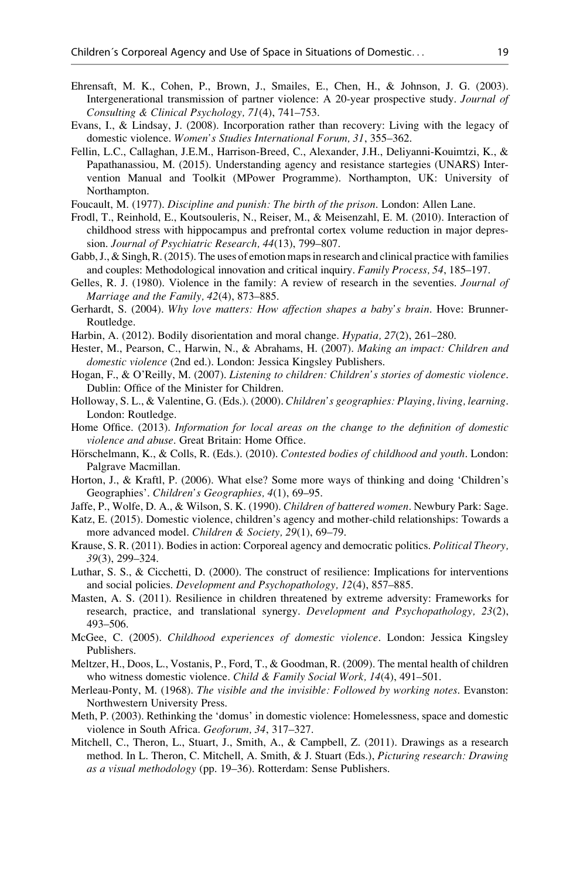- <span id="page-18-0"></span>Ehrensaft, M. K., Cohen, P., Brown, J., Smailes, E., Chen, H., & Johnson, J. G. (2003). Intergenerational transmission of partner violence: A 20-year prospective study. Journal of Consulting & Clinical Psychology, 71(4), 741–753.
- Evans, I., & Lindsay, J. (2008). Incorporation rather than recovery: Living with the legacy of domestic violence. Women's Studies International Forum, 31, 355-362.
- Fellin, L.C., Callaghan, J.E.M., Harrison-Breed, C., Alexander, J.H., Deliyanni-Kouimtzi, K., & Papathanassiou, M. (2015). Understanding agency and resistance startegies (UNARS) Intervention Manual and Toolkit (MPower Programme). Northampton, UK: University of Northampton.
- Foucault, M. (1977). Discipline and punish: The birth of the prison. London: Allen Lane.
- Frodl, T., Reinhold, E., Koutsouleris, N., Reiser, M., & Meisenzahl, E. M. (2010). Interaction of childhood stress with hippocampus and prefrontal cortex volume reduction in major depression. Journal of Psychiatric Research, 44(13), 799–807.
- Gabb, J., & Singh, R. (2015). The uses of emotion maps in research and clinical practice with families and couples: Methodological innovation and critical inquiry. Family Process, 54, 185–197.
- Gelles, R. J. (1980). Violence in the family: A review of research in the seventies. *Journal of* Marriage and the Family, 42(4), 873–885.
- Gerhardt, S. (2004). Why love matters: How affection shapes a baby's brain. Hove: Brunner-Routledge.
- Harbin, A. (2012). Bodily disorientation and moral change. Hypatia, 27(2), 261–280.
- Hester, M., Pearson, C., Harwin, N., & Abrahams, H. (2007). Making an impact: Children and domestic violence (2nd ed.). London: Jessica Kingsley Publishers.
- Hogan, F., & O'Reilly, M. (2007). Listening to children: Children's stories of domestic violence. Dublin: Office of the Minister for Children.
- Holloway, S. L., & Valentine, G. (Eds.). (2000). Children's geographies: Playing, living, learning. London: Routledge.
- Home Office. (2013). Information for local areas on the change to the definition of domestic violence and abuse. Great Britain: Home Office.
- Hörschelmann, K., & Colls, R. (Eds.). (2010). Contested bodies of childhood and youth. London: Palgrave Macmillan.
- Horton, J., & Kraftl, P. (2006). What else? Some more ways of thinking and doing 'Children's Geographies'. Children's Geographies, 4(1), 69–95.
- Jaffe, P., Wolfe, D. A., & Wilson, S. K. (1990). Children of battered women. Newbury Park: Sage.
- Katz, E. (2015). Domestic violence, children's agency and mother-child relationships: Towards a more advanced model. Children & Society, 29(1), 69-79.
- Krause, S. R. (2011). Bodies in action: Corporeal agency and democratic politics. Political Theory, 39(3), 299–324.
- Luthar, S. S., & Cicchetti, D. (2000). The construct of resilience: Implications for interventions and social policies. Development and Psychopathology, 12(4), 857–885.
- Masten, A. S. (2011). Resilience in children threatened by extreme adversity: Frameworks for research, practice, and translational synergy. Development and Psychopathology, 23(2), 493–506.
- McGee, C. (2005). Childhood experiences of domestic violence. London: Jessica Kingsley Publishers.
- Meltzer, H., Doos, L., Vostanis, P., Ford, T., & Goodman, R. (2009). The mental health of children who witness domestic violence. Child & Family Social Work, 14(4), 491-501.
- Merleau-Ponty, M. (1968). The visible and the invisible: Followed by working notes. Evanston: Northwestern University Press.
- Meth, P. (2003). Rethinking the 'domus' in domestic violence: Homelessness, space and domestic violence in South Africa. Geoforum, 34, 317–327.
- Mitchell, C., Theron, L., Stuart, J., Smith, A., & Campbell, Z. (2011). Drawings as a research method. In L. Theron, C. Mitchell, A. Smith, & J. Stuart (Eds.), Picturing research: Drawing as a visual methodology (pp. 19–36). Rotterdam: Sense Publishers.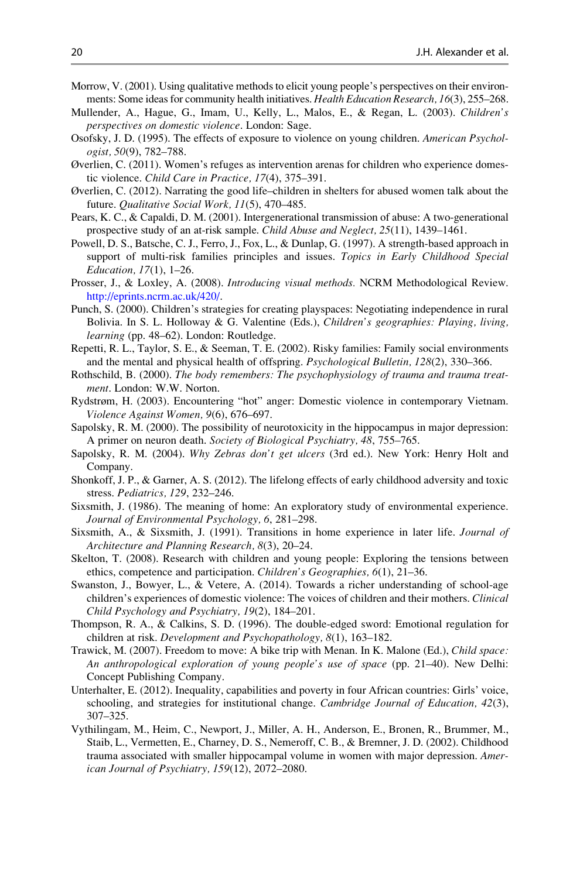- <span id="page-19-0"></span>Morrow, V. (2001). Using qualitative methods to elicit young people's perspectives on their environments: Some ideas for community health initiatives. Health Education Research, 16(3), 255–268.
- Mullender, A., Hague, G., Imam, U., Kelly, L., Malos, E., & Regan, L. (2003). Children's perspectives on domestic violence. London: Sage.
- Osofsky, J. D. (1995). The effects of exposure to violence on young children. American Psychologist, 50(9), 782–788.
- Øverlien, C. (2011). Women's refuges as intervention arenas for children who experience domestic violence. Child Care in Practice, 17(4), 375–391.
- Øverlien, C. (2012). Narrating the good life–children in shelters for abused women talk about the future. Qualitative Social Work, 11(5), 470–485.
- Pears, K. C., & Capaldi, D. M. (2001). Intergenerational transmission of abuse: A two-generational prospective study of an at-risk sample. Child Abuse and Neglect, 25(11), 1439–1461.
- Powell, D. S., Batsche, C. J., Ferro, J., Fox, L., & Dunlap, G. (1997). A strength-based approach in support of multi-risk families principles and issues. Topics in Early Childhood Special Education, 17(1), 1–26.
- Prosser, J., & Loxley, A. (2008). Introducing visual methods. NCRM Methodological Review. [http://eprints.ncrm.ac.uk/420/.](http://eprints.ncrm.ac.uk/420/)
- Punch, S. (2000). Children's strategies for creating playspaces: Negotiating independence in rural Bolivia. In S. L. Holloway & G. Valentine (Eds.), Children's geographies: Playing, living, learning (pp. 48–62). London: Routledge.
- Repetti, R. L., Taylor, S. E., & Seeman, T. E. (2002). Risky families: Family social environments and the mental and physical health of offspring. Psychological Bulletin, 128(2), 330–366.
- Rothschild, B. (2000). The body remembers: The psychophysiology of trauma and trauma treatment. London: W.W. Norton.
- Rydstrøm, H. (2003). Encountering "hot" anger: Domestic violence in contemporary Vietnam. Violence Against Women, 9(6), 676–697.
- Sapolsky, R. M. (2000). The possibility of neurotoxicity in the hippocampus in major depression: A primer on neuron death. Society of Biological Psychiatry, 48, 755–765.
- Sapolsky, R. M. (2004). Why Zebras don't get ulcers (3rd ed.). New York: Henry Holt and Company.
- Shonkoff, J. P., & Garner, A. S. (2012). The lifelong effects of early childhood adversity and toxic stress. Pediatrics, 129, 232–246.
- Sixsmith, J. (1986). The meaning of home: An exploratory study of environmental experience. Journal of Environmental Psychology, 6, 281–298.
- Sixsmith, A., & Sixsmith, J. (1991). Transitions in home experience in later life. Journal of Architecture and Planning Research, 8(3), 20–24.
- Skelton, T. (2008). Research with children and young people: Exploring the tensions between ethics, competence and participation. Children's Geographies, 6(1), 21–36.
- Swanston, J., Bowyer, L., & Vetere, A. (2014). Towards a richer understanding of school-age children's experiences of domestic violence: The voices of children and their mothers. Clinical Child Psychology and Psychiatry, 19(2), 184–201.
- Thompson, R. A., & Calkins, S. D. (1996). The double-edged sword: Emotional regulation for children at risk. Development and Psychopathology, 8(1), 163-182.
- Trawick, M. (2007). Freedom to move: A bike trip with Menan. In K. Malone (Ed.), Child space: An anthropological exploration of young people's use of space (pp. 21–40). New Delhi: Concept Publishing Company.
- Unterhalter, E. (2012). Inequality, capabilities and poverty in four African countries: Girls' voice, schooling, and strategies for institutional change. Cambridge Journal of Education, 42(3), 307–325.
- Vythilingam, M., Heim, C., Newport, J., Miller, A. H., Anderson, E., Bronen, R., Brummer, M., Staib, L., Vermetten, E., Charney, D. S., Nemeroff, C. B., & Bremner, J. D. (2002). Childhood trauma associated with smaller hippocampal volume in women with major depression. American Journal of Psychiatry, 159(12), 2072–2080.